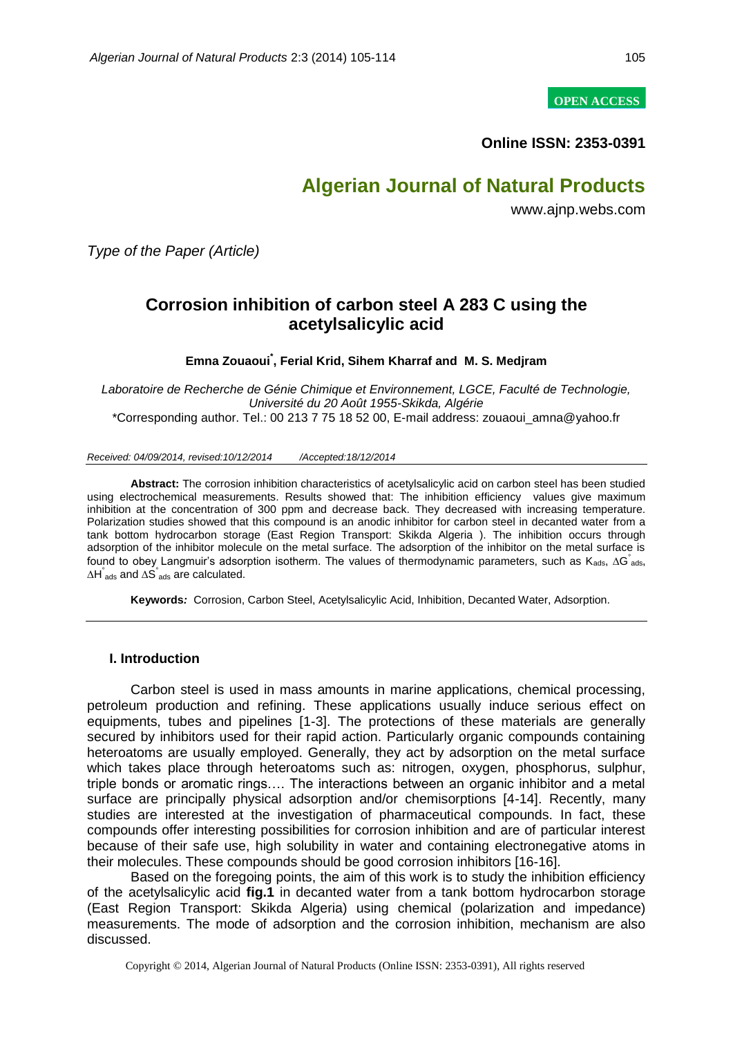**OPEN ACCESS**

**Online ISSN: 2353-0391**

# **Algerian Journal of Natural Products**

www.ajnp.webs.com

*Type of the Paper (Article)*

# **Corrosion inhibition of carbon steel A 283 C using the acetylsalicylic acid**

## **Emna Zouaoui\* , Ferial Krid, Sihem Kharraf and M. S. Medjram**

*Laboratoire de Recherche de Génie Chimique et Environnement, LGCE, Faculté de Technologie, Université du 20 Août 1955-Skikda, Algérie* \*Corresponding author. Tel.: 00 213 7 75 18 52 00, E-mail address: zouaoui\_amna@yahoo.fr

#### *Received: 04/09/2014, revised:10/12/2014 /Accepted:18/12/2014*

**Abstract:** The corrosion inhibition characteristics of acetylsalicylic acid on carbon steel has been studied using electrochemical measurements. Results showed that: The inhibition efficiency values give maximum inhibition at the concentration of 300 ppm and decrease back. They decreased with increasing temperature. Polarization studies showed that this compound is an anodic inhibitor for carbon steel in decanted water from a tank bottom hydrocarbon storage (East Region Transport: Skikda Algeria ). The inhibition occurs through adsorption of the inhibitor molecule on the metal surface. The adsorption of the inhibitor on the metal surface is found to obey Langmuir's adsorption isotherm. The values of thermodynamic parameters, such as  $K_{ads}$ ,  $\Delta G$  ads,  $\Delta H_{ads}$  and  $\Delta S_{ads}$  are calculated.

**Keywords***:* Corrosion, Carbon Steel, Acetylsalicylic Acid, Inhibition, Decanted Water, Adsorption.

#### **I. Introduction**

Carbon steel is used in mass amounts in marine applications, chemical processing, petroleum production and refining. These applications usually induce serious effect on equipments, tubes and pipelines [1-3]. The protections of these materials are generally secured by inhibitors used for their rapid action. Particularly organic compounds containing heteroatoms are usually employed. Generally, they act by adsorption on the metal surface which takes place through heteroatoms such as: nitrogen, oxygen, phosphorus, sulphur, triple bonds or aromatic rings…. The interactions between an organic inhibitor and a metal surface are principally physical adsorption and/or chemisorptions [4-14]. Recently, many studies are interested at the investigation of pharmaceutical compounds. In fact, these compounds offer interesting possibilities for corrosion inhibition and are of particular interest because of their safe use, high solubility in water and containing electronegative atoms in their molecules. These compounds should be good corrosion inhibitors [16-16].

Based on the foregoing points, the aim of this work is to study the inhibition efficiency of the acetylsalicylic acid **fig.1** in decanted water from a tank bottom hydrocarbon storage (East Region Transport: Skikda Algeria) using chemical (polarization and impedance) measurements. The mode of adsorption and the corrosion inhibition, mechanism are also discussed.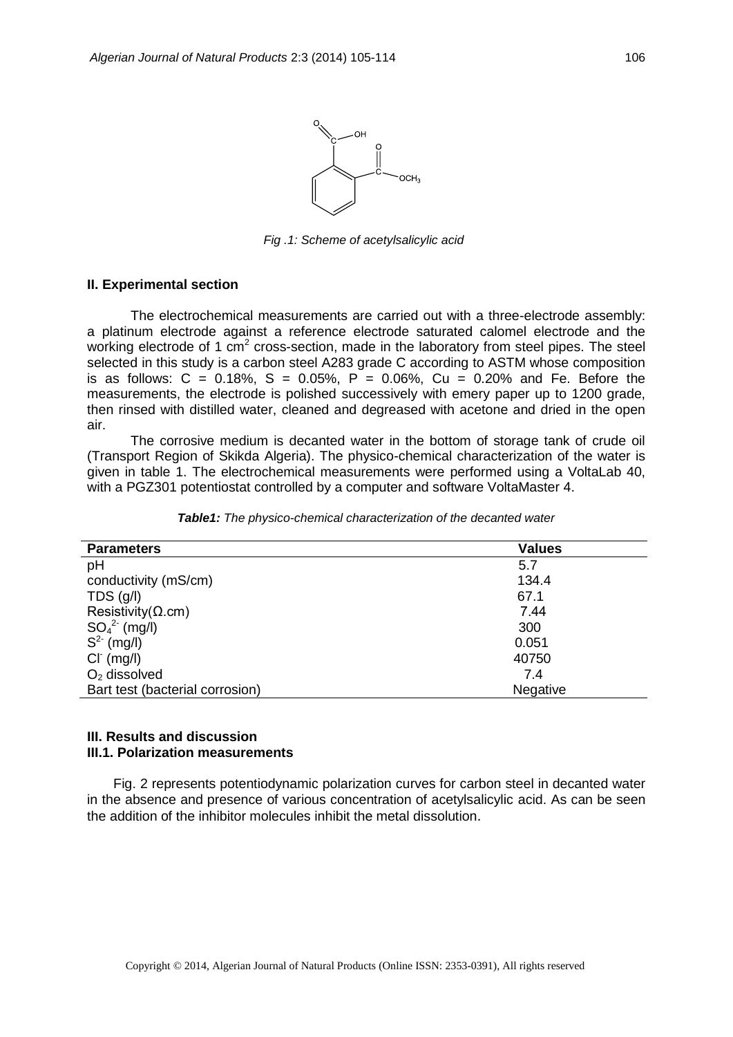

*Fig .1: Scheme of acetylsalicylic acid*

### **II. Experimental section**

The electrochemical measurements are carried out with a three-electrode assembly: a platinum electrode against a reference electrode saturated calomel electrode and the working electrode of 1  $\text{cm}^2$  cross-section, made in the laboratory from steel pipes. The steel selected in this study is a carbon steel A283 grade C according to ASTM whose composition is as follows:  $C = 0.18\%$ ,  $S = 0.05\%$ ,  $P = 0.06\%$ ,  $Cu = 0.20\%$  and Fe. Before the measurements, the electrode is polished successively with emery paper up to 1200 grade, then rinsed with distilled water, cleaned and degreased with acetone and dried in the open air.

The corrosive medium is decanted water in the bottom of storage tank of crude oil (Transport Region of Skikda Algeria). The physico-chemical characterization of the water is given in table 1. The electrochemical measurements were performed using a VoltaLab 40, with a PGZ301 potentiostat controlled by a computer and software VoltaMaster 4.

| <b>Parameters</b>               | <b>Values</b> |  |  |
|---------------------------------|---------------|--|--|
| pH                              | 5.7           |  |  |
| conductivity (mS/cm)            | 134.4         |  |  |
| TDS(q/l)                        | 67.1          |  |  |
| Resistivity( $\Omega$ .cm)      | 7.44          |  |  |
| $SO_4^2$ (mg/l)                 | 300           |  |  |
| $S^2$ (mg/l)                    | 0.051         |  |  |
| $CI^{(mg/l)}$                   | 40750         |  |  |
| $O2$ dissolved                  | 7.4           |  |  |
| Bart test (bacterial corrosion) | Negative      |  |  |

*Table1: The physico-chemical characterization of the decanted water*

### **III. Results and discussion III.1. Polarization measurements**

Fig. 2 represents potentiodynamic polarization curves for carbon steel in decanted water in the absence and presence of various concentration of acetylsalicylic acid. As can be seen the addition of the inhibitor molecules inhibit the metal dissolution.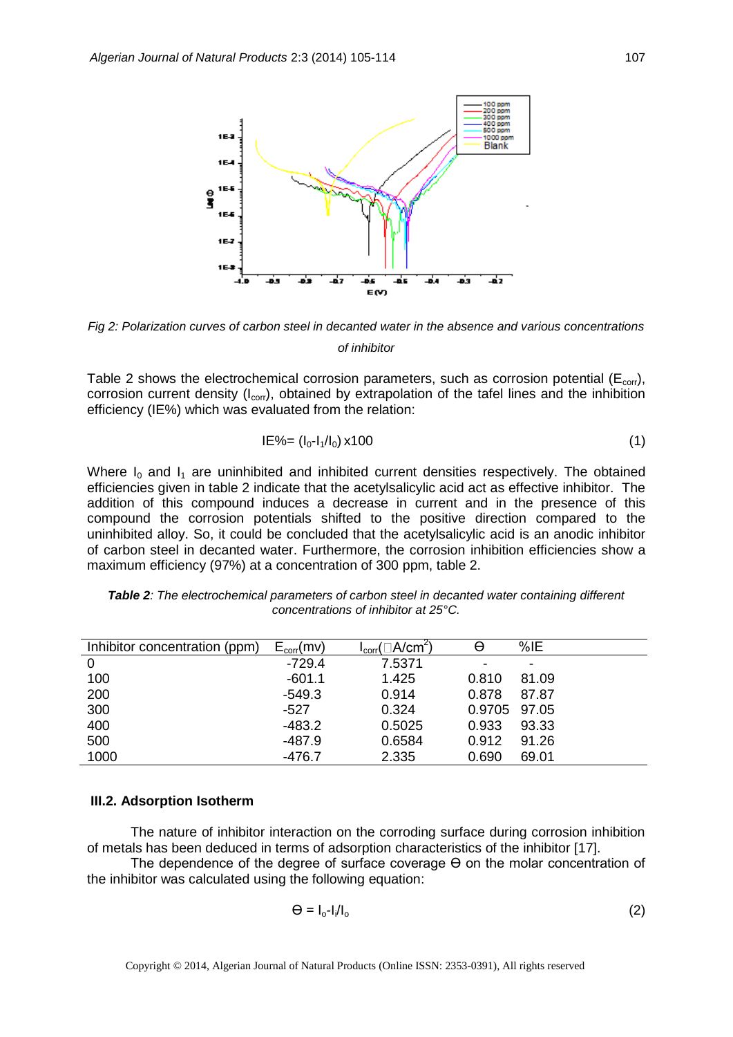

*Fig 2: Polarization curves of carbon steel in decanted water in the absence and various concentrations of inhibitor*

Table 2 shows the electrochemical corrosion parameters, such as corrosion potential ( $E_{\text{corr}}$ ), corrosion current density  $(I_{\text{corr}})$ , obtained by extrapolation of the tafel lines and the inhibition efficiency (IE%) which was evaluated from the relation:

$$
IE\% = (I_0 - I_1/I_0) \times 100 \tag{1}
$$

Where  $I_0$  and  $I_1$  are uninhibited and inhibited current densities respectively. The obtained efficiencies given in table 2 indicate that the acetylsalicylic acid act as effective inhibitor. The addition of this compound induces a decrease in current and in the presence of this compound the corrosion potentials shifted to the positive direction compared to the uninhibited alloy. So, it could be concluded that the acetylsalicylic acid is an anodic inhibitor of carbon steel in decanted water. Furthermore, the corrosion inhibition efficiencies show a maximum efficiency (97%) at a concentration of 300 ppm, table 2.

| Inhibitor concentration (ppm) | $E_{corr}(mv)$ | $I_{\text{corr}}(\Box A/\text{cm}^2)$ | θ            | %E    |
|-------------------------------|----------------|---------------------------------------|--------------|-------|
| 0                             | $-729.4$       | 7.5371                                | ۰            | -     |
| 100                           | $-601.1$       | 1.425                                 | 0.810        | 81.09 |
| 200                           | $-549.3$       | 0.914                                 | 0.878        | 87.87 |
| 300                           | $-527$         | 0.324                                 | 0.9705 97.05 |       |
| 400                           | -483.2         | 0.5025                                | 0.933        | 93.33 |
| 500                           | -487.9         | 0.6584                                | 0.912        | 91.26 |
| 1000                          | $-476.7$       | 2.335                                 | 0.690        | 69.01 |

*Table 2: The electrochemical parameters of carbon steel in decanted water containing different concentrations of inhibitor at 25°C.*

#### **III.2. Adsorption Isotherm**

The nature of inhibitor interaction on the corroding surface during corrosion inhibition of metals has been deduced in terms of adsorption characteristics of the inhibitor [17].

The dependence of the degree of surface coverage  $\Theta$  on the molar concentration of the inhibitor was calculated using the following equation:

$$
\Theta = I_0 - I_1/I_0 \tag{2}
$$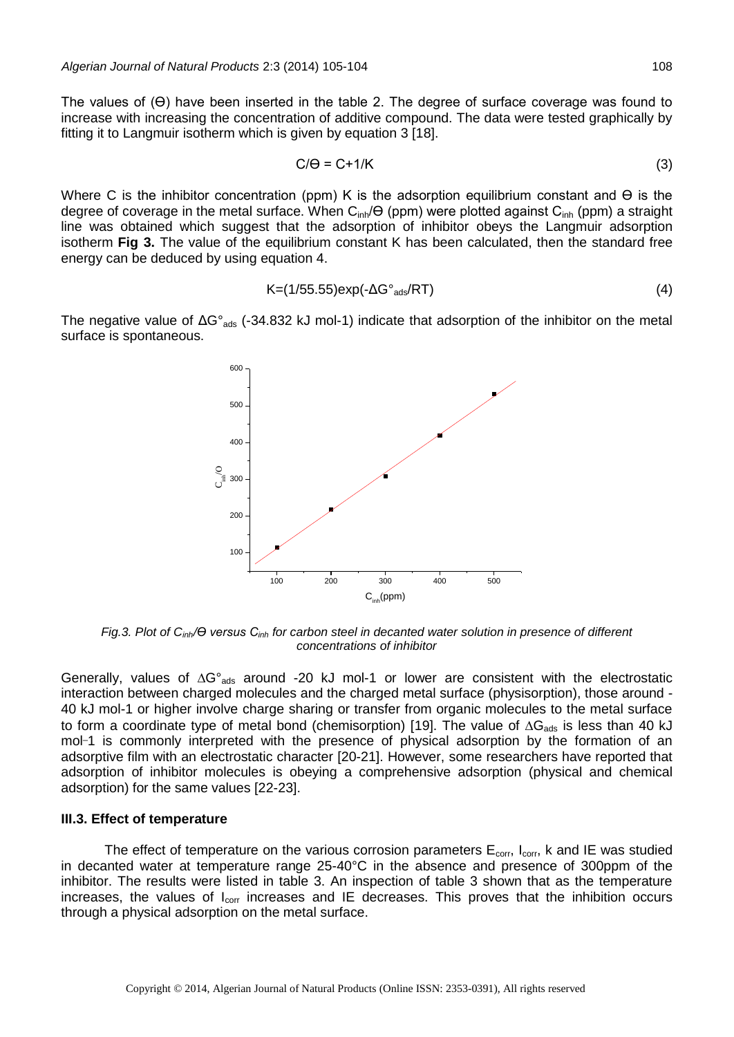The values of (Ө) have been inserted in the table 2. The degree of surface coverage was found to increase with increasing the concentration of additive compound. The data were tested graphically by fitting it to Langmuir isotherm which is given by equation 3 [18].

$$
C/\Theta = C + 1/K
$$
 (3)

Where C is the inhibitor concentration (ppm) K is the adsorption equilibrium constant and  $\Theta$  is the degree of coverage in the metal surface. When  $C_{inh}/\Theta$  (ppm) were plotted against  $C_{inh}$  (ppm) a straight line was obtained which suggest that the adsorption of inhibitor obeys the Langmuir adsorption isotherm **Fig 3.** The value of the equilibrium constant K has been calculated, then the standard free energy can be deduced by using equation 4.

$$
K=(1/55.55)exp(-\Delta G^{\circ}_{ads}/RT)
$$
 (4)

The negative value of ΔG°<sub>ads</sub> (-34.832 kJ mol-1) indicate that adsorption of the inhibitor on the metal surface is spontaneous.



*Fig.3. Plot of C<sub>inh</sub>*/ $\Theta$  versus C<sub>*inh</sub>* for carbon steel in decanted water solution in presence of different</sub> *concentrations of inhibitor*

Generally, values of  $\Delta G^{\circ}_{ads}$  around -20 kJ mol-1 or lower are consistent with the electrostatic interaction between charged molecules and the charged metal surface (physisorption), those around - 40 kJ mol-1 or higher involve charge sharing or transfer from organic molecules to the metal surface to form a coordinate type of metal bond (chemisorption) [19]. The value of  $\Delta G_{\text{ads}}$  is less than 40 kJ mol-1 is commonly interpreted with the presence of physical adsorption by the formation of an adsorptive film with an electrostatic character [20-21]. However, some researchers have reported that adsorption of inhibitor molecules is obeying a comprehensive adsorption (physical and chemical adsorption) for the same values [22-23].

#### **III.3. Effect of temperature**

The effect of temperature on the various corrosion parameters  $E_{corr}$ ,  $I_{corr}$ , k and IE was studied in decanted water at temperature range 25-40°C in the absence and presence of 300ppm of the inhibitor. The results were listed in table 3. An inspection of table 3 shown that as the temperature increases, the values of  $I_{corr}$  increases and IE decreases. This proves that the inhibition occurs through a physical adsorption on the metal surface.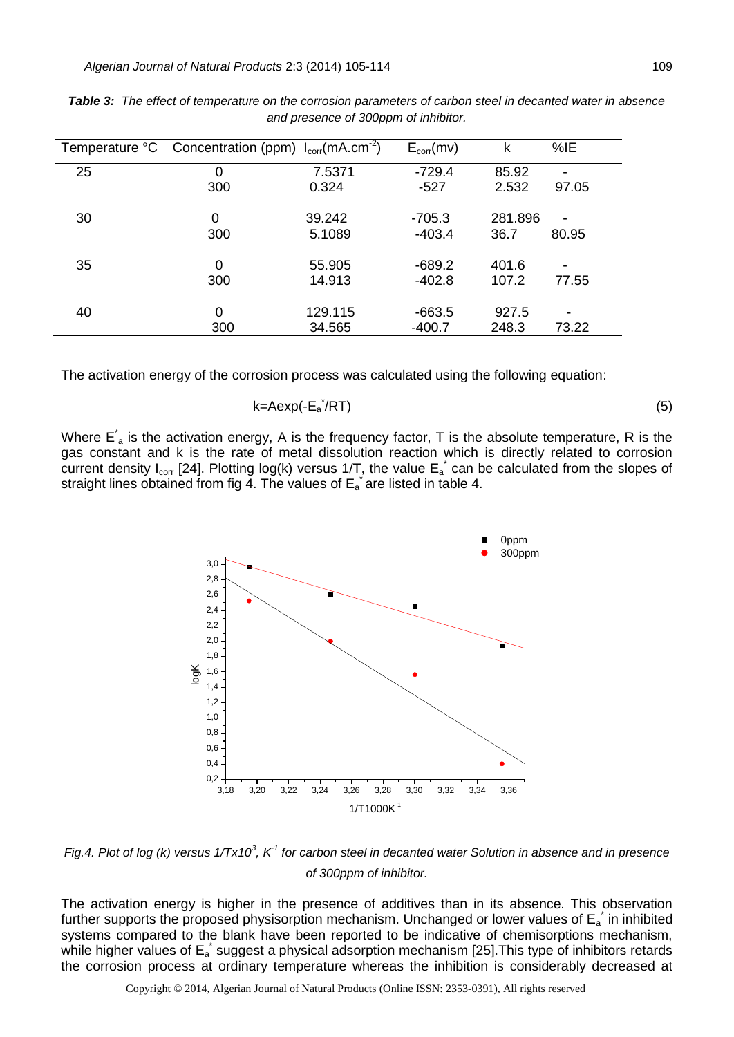|    | Temperature ${}^{\circ}$ C Concentration (ppm) $I_{corr}(mA.cm^{-2})$ |         | $E_{corr}(mv)$ | k       | %IE                      |
|----|-----------------------------------------------------------------------|---------|----------------|---------|--------------------------|
| 25 | 0                                                                     | 7.5371  | $-729.4$       | 85.92   | $\blacksquare$           |
|    | 300                                                                   | 0.324   | $-527$         | 2.532   | 97.05                    |
| 30 | $\Omega$                                                              | 39.242  | $-705.3$       | 281.896 | $\overline{\phantom{a}}$ |
|    | 300                                                                   | 5.1089  | $-403.4$       | 36.7    | 80.95                    |
| 35 | $\Omega$                                                              | 55.905  | $-689.2$       | 401.6   | $\overline{\phantom{0}}$ |
|    | 300                                                                   | 14.913  | $-402.8$       | 107.2   | 77.55                    |
| 40 | $\Omega$                                                              | 129.115 | -663.5         | 927.5   | -                        |
|    | 300                                                                   | 34.565  | $-400.7$       | 248.3   | 73.22                    |

*Table 3: The effect of temperature on the corrosion parameters of carbon steel in decanted water in absence and presence of 300ppm of inhibitor.*

The activation energy of the corrosion process was calculated using the following equation:

$$
k = A \exp(-E_a^{\dagger}/RT) \tag{5}
$$

Where  $E^*$  is the activation energy, A is the frequency factor, T is the absolute temperature, R is the gas constant and k is the rate of metal dissolution reaction which is directly related to corrosion current density I<sub>corr</sub> [24]. Plotting log(k) versus 1/T, the value  $E_a^*$  can be calculated from the slopes of straight lines obtained from fig 4. The values of  $E_a^*$  are listed in table 4.



*Fig.4. Plot of log (k) versus*  $1/Tx10^3$ *, K<sup>-1</sup> for carbon steel in decanted water Solution in absence and in presence of 300ppm of inhibitor.*

The activation energy is higher in the presence of additives than in its absence. This observation further supports the proposed physisorption mechanism. Unchanged or lower values of  $E_a^*$  in inhibited systems compared to the blank have been reported to be indicative of chemisorptions mechanism, while higher values of  $E_a^*$  suggest a physical adsorption mechanism [25].This type of inhibitors retards the corrosion process at ordinary temperature whereas the inhibition is considerably decreased at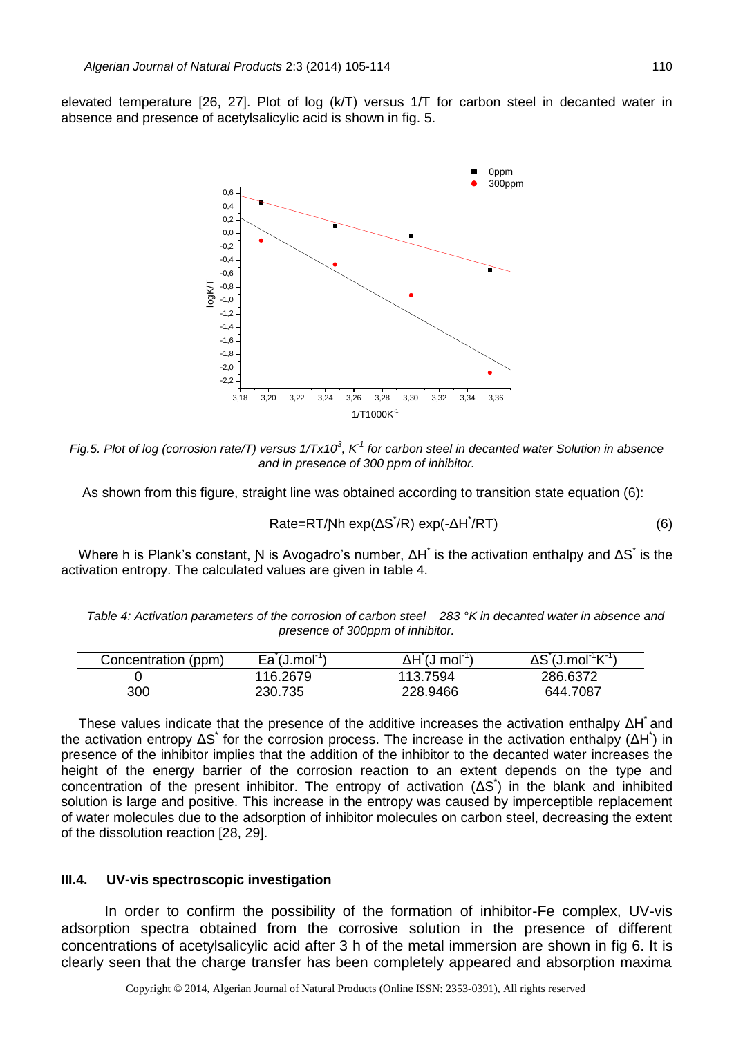elevated temperature [26, 27]. Plot of log (k/T) versus 1/T for carbon steel in decanted water in absence and presence of acetylsalicylic acid is shown in fig. 5.



*Fig.5. Plot of log (corrosion rate/T) versus 1/Tx10<sup>3</sup>, K<sup>1</sup> for carbon steel in decanted water Solution in absence and in presence of 300 ppm of inhibitor.*

As shown from this figure, straight line was obtained according to transition state equation (6):

 $Rate = RT/Nh \exp(\Delta S^{\dagger}/R) \exp(-\Delta H^{\dagger}/RT)$  (6)

Where h is Plank's constant, N is Avogadro's number,  $\Delta H^*$  is the activation enthalpy and  $\Delta S^*$  is the activation entropy. The calculated values are given in table 4.

*Table 4: Activation parameters of the corrosion of carbon steel 283 °K in decanted water in absence and presence of 300ppm of inhibitor.*

| Concentration (ppm) | $Ea$ (J.mol <sup>-1</sup> ) | ∆H (J<br>, mol $^{\text{-}}$ | $\Delta S$ (J.mol $\mathrm{R}^1$ K $\mathrm{R}^1$ ) |
|---------------------|-----------------------------|------------------------------|-----------------------------------------------------|
|                     | 116.2679                    | 113.7594                     | 286.6372                                            |
| 300                 | 230.735                     | 228.9466                     | 644.7087                                            |

These values indicate that the presence of the additive increases the activation enthalpy  $\Delta H^*$  and the activation entropy  $\Delta S^*$  for the corrosion process. The increase in the activation enthalpy ( $\Delta H^*$ ) in presence of the inhibitor implies that the addition of the inhibitor to the decanted water increases the height of the energy barrier of the corrosion reaction to an extent depends on the type and concentration of the present inhibitor. The entropy of activation (ΔS<sup>\*</sup>) in the blank and inhibited solution is large and positive. This increase in the entropy was caused by imperceptible replacement of water molecules due to the adsorption of inhibitor molecules on carbon steel, decreasing the extent of the dissolution reaction [28, 29].

### **III.4. UV-vis spectroscopic investigation**

In order to confirm the possibility of the formation of inhibitor-Fe complex, UV-vis adsorption spectra obtained from the corrosive solution in the presence of different concentrations of acetylsalicylic acid after 3 h of the metal immersion are shown in fig 6. It is clearly seen that the charge transfer has been completely appeared and absorption maxima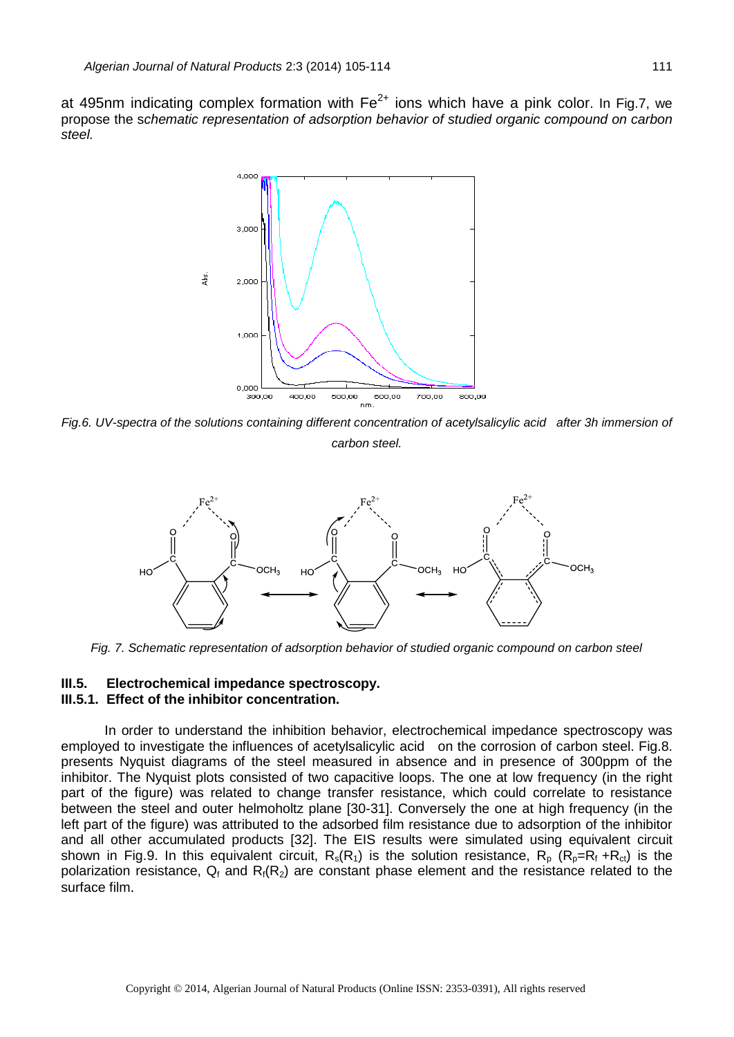at 495nm indicating complex formation with  $Fe^{2+}$  ions which have a pink color. In Fig.7, we propose the s*chematic representation of adsorption behavior of studied organic compound on carbon steel.*



*Fig.6. UV-spectra of the solutions containing different concentration of acetylsalicylic acid after 3h immersion of carbon steel.*



*Fig. 7. Schematic representation of adsorption behavior of studied organic compound on carbon steel*

### **III.5.****Electrochemical impedance spectroscopy. III.5.1. Effect of the inhibitor concentration.**

In order to understand the inhibition behavior, electrochemical impedance spectroscopy was employed to investigate the influences of acetylsalicylic acid on the corrosion of carbon steel. Fig.8. presents Nyquist diagrams of the steel measured in absence and in presence of 300ppm of the inhibitor. The Nyquist plots consisted of two capacitive loops. The one at low frequency (in the right part of the figure) was related to change transfer resistance, which could correlate to resistance between the steel and outer helmoholtz plane [30-31]. Conversely the one at high frequency (in the left part of the figure) was attributed to the adsorbed film resistance due to adsorption of the inhibitor and all other accumulated products [32]. The EIS results were simulated using equivalent circuit shown in Fig.9. In this equivalent circuit,  $R_s(R_1)$  is the solution resistance,  $R_p (R_p = R_f + R_{ct})$  is the polarization resistance,  $Q_f$  and  $R_f(R_2)$  are constant phase element and the resistance related to the surface film.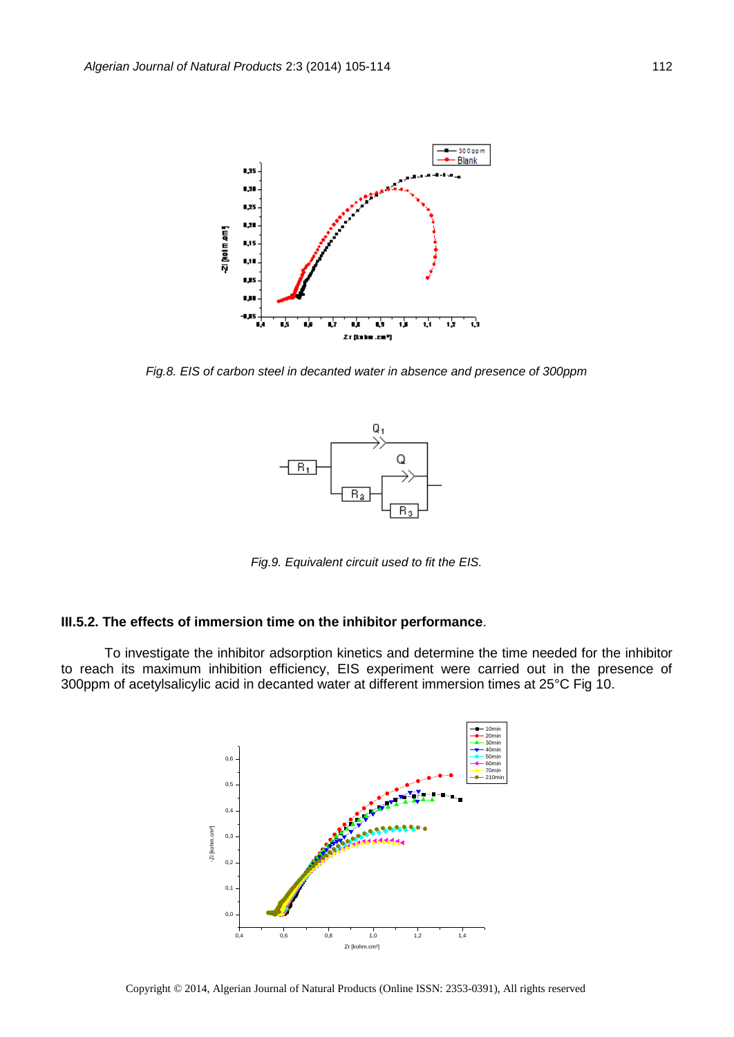

*Fig.8. EIS of carbon steel in decanted water in absence and presence of 300ppm*



*Fig.9. Equivalent circuit used to fit the EIS.*

#### **III.5.2. The effects of immersion time on the inhibitor performance**.

To investigate the inhibitor adsorption kinetics and determine the time needed for the inhibitor to reach its maximum inhibition efficiency, EIS experiment were carried out in the presence of 300ppm of acetylsalicylic acid in decanted water at different immersion times at 25°C Fig 10.

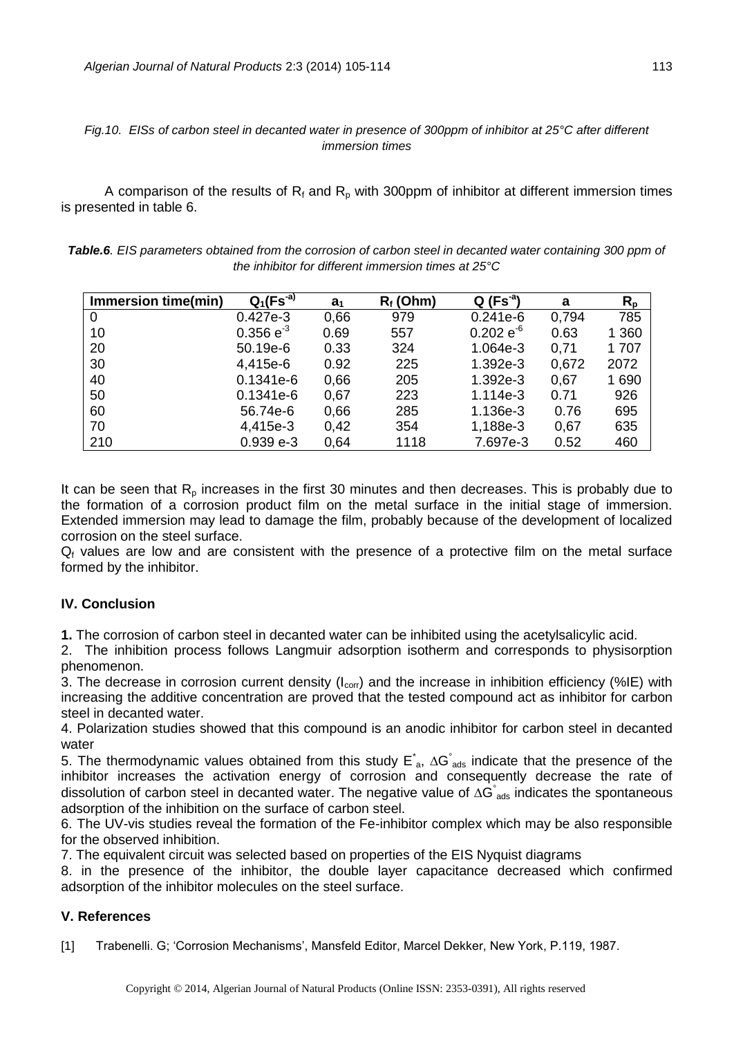## *Fig.10. EISs of carbon steel in decanted water in presence of 300ppm of inhibitor at 25°C after different immersion times*

A comparison of the results of  $R_f$  and  $R_p$  with 300ppm of inhibitor at different immersion times is presented in table 6.

| Table.6. EIS parameters obtained from the corrosion of carbon steel in decanted water containing 300 ppm of |
|-------------------------------------------------------------------------------------------------------------|
| the inhibitor for different immersion times at $25^{\circ}$ C                                               |

| Immersion time(min) | $Q_1(Fs^{-a})$ | a <sub>1</sub> | $R_f$ (Ohm) | $Q(Fs^a)$      | a     | $R_{p}$ |
|---------------------|----------------|----------------|-------------|----------------|-------|---------|
| $\overline{0}$      | $0.427e-3$     | 0,66           | 979         | $0.241e-6$     | 0.794 | 785     |
| 10                  | $0.356 e^{-3}$ | 0.69           | 557         | $0.202 e^{-6}$ | 0.63  | 1 3 6 0 |
| 20                  | 50.19e-6       | 0.33           | 324         | 1.064e-3       | 0,71  | 1 707   |
| 30                  | 4,415e-6       | 0.92           | 225         | 1.392e-3       | 0,672 | 2072    |
| 40                  | $0.1341e-6$    | 0,66           | 205         | 1.392e-3       | 0,67  | 1690    |
| 50                  | $0.1341e-6$    | 0,67           | 223         | 1.114e-3       | 0.71  | 926     |
| 60                  | 56.74e-6       | 0,66           | 285         | 1.136e-3       | 0.76  | 695     |
| 70                  | 4,415e-3       | 0,42           | 354         | 1,188e-3       | 0,67  | 635     |
| 210                 | $0.939e-3$     | 0.64           | 1118        | 7.697e-3       | 0.52  | 460     |

It can be seen that  $R_p$  increases in the first 30 minutes and then decreases. This is probably due to the formation of a corrosion product film on the metal surface in the initial stage of immersion. Extended immersion may lead to damage the film, probably because of the development of localized corrosion on the steel surface.

 $Q_f$  values are low and are consistent with the presence of a protective film on the metal surface formed by the inhibitor.

## **IV. Conclusion**

**1.** The corrosion of carbon steel in decanted water can be inhibited using the acetylsalicylic acid.

2. The inhibition process follows Langmuir adsorption isotherm and corresponds to physisorption phenomenon.

3. The decrease in corrosion current density ( $I_{corr}$ ) and the increase in inhibition efficiency (%IE) with increasing the additive concentration are proved that the tested compound act as inhibitor for carbon steel in decanted water.

4. Polarization studies showed that this compound is an anodic inhibitor for carbon steel in decanted water

5. The thermodynamic values obtained from this study  $E^*_{a}$ ,  $\Delta G^*_{a}$  indicate that the presence of the inhibitor increases the activation energy of corrosion and consequently decrease the rate of dissolution of carbon steel in decanted water. The negative value of  $\Delta G_{\text{ads}}^{\circ}$  indicates the spontaneous adsorption of the inhibition on the surface of carbon steel.

6. The UV-vis studies reveal the formation of the Fe-inhibitor complex which may be also responsible for the observed inhibition.

7. The equivalent circuit was selected based on properties of the EIS Nyquist diagrams

8. in the presence of the inhibitor, the double layer capacitance decreased which confirmed adsorption of the inhibitor molecules on the steel surface.

## **V. References**

[1] Trabenelli. G; 'Corrosion Mechanisms', Mansfeld Editor, Marcel Dekker, New York, P.119, 1987.